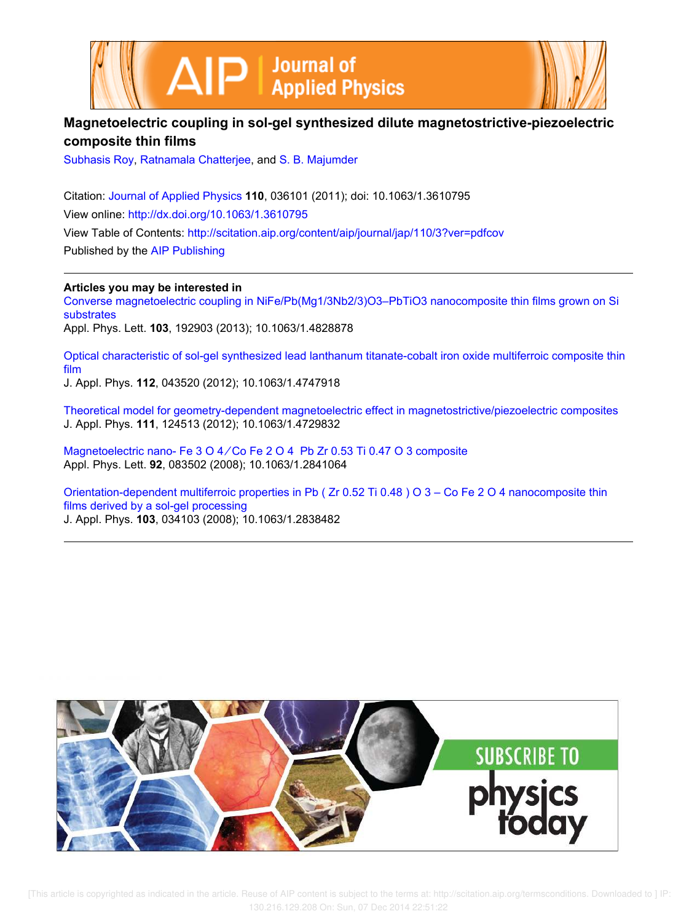



## **Magnetoelectric coupling in sol-gel synthesized dilute magnetostrictive-piezoelectric composite thin films**

Subhasis Roy, Ratnamala Chatterjee, and S. B. Majumder

Citation: Journal of Applied Physics **110**, 036101 (2011); doi: 10.1063/1.3610795 View online: http://dx.doi.org/10.1063/1.3610795 View Table of Contents: http://scitation.aip.org/content/aip/journal/jap/110/3?ver=pdfcov Published by the AIP Publishing

**Articles you may be interested in**

Converse magnetoelectric coupling in NiFe/Pb(Mg1/3Nb2/3)O3–PbTiO3 nanocomposite thin films grown on Si substrates Appl. Phys. Lett. **103**, 192903 (2013); 10.1063/1.4828878

Optical characteristic of sol-gel synthesized lead lanthanum titanate-cobalt iron oxide multiferroic composite thin film

J. Appl. Phys. **112**, 043520 (2012); 10.1063/1.4747918

Theoretical model for geometry-dependent magnetoelectric effect in magnetostrictive/piezoelectric composites J. Appl. Phys. **111**, 124513 (2012); 10.1063/1.4729832

Magnetoelectric nano- Fe 3 O 4 ∕ Co Fe 2 O 4 Pb Zr 0.53 Ti 0.47 O 3 composite Appl. Phys. Lett. **92**, 083502 (2008); 10.1063/1.2841064

Orientation-dependent multiferroic properties in Pb ( Zr 0.52 Ti 0.48 ) O 3 – Co Fe 2 O 4 nanocomposite thin films derived by a sol-gel processing J. Appl. Phys. **103**, 034103 (2008); 10.1063/1.2838482

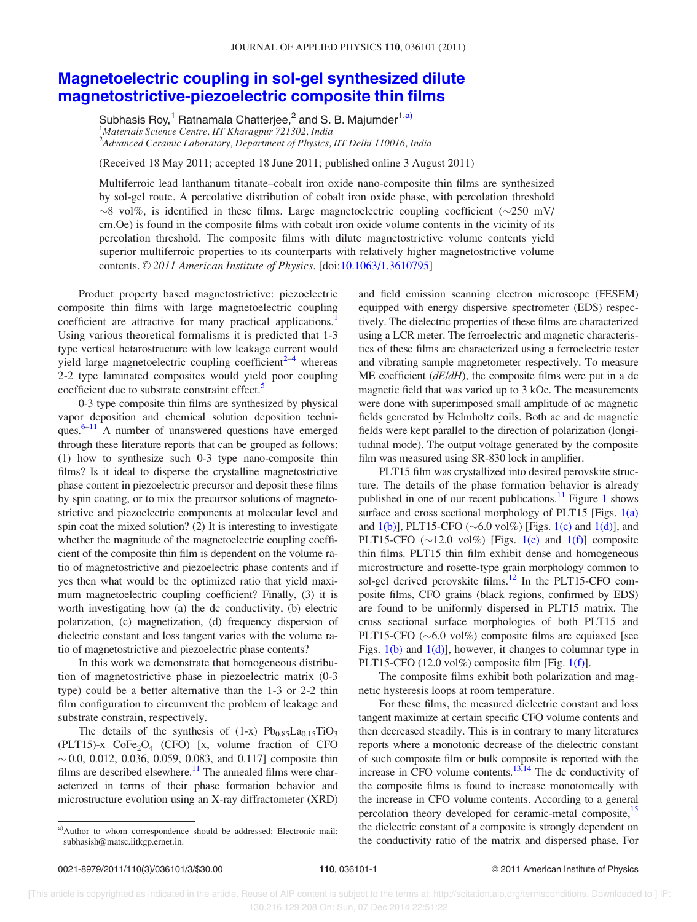## Magnetoelectric coupling in sol-gel synthesized dilute magnetostrictive-piezoelectric composite thin films

Subhasis Roy,<sup>1</sup> Ratnamala Chatterjee,<sup>2</sup> and S. B. Majumder<sup>1,a)</sup> <sup>1</sup>Materials Science Centre, IIT Kharagpur 721302, India <sup>2</sup>Advanced Ceramic Laboratory, Department of Physics, IIT Delhi 110016, India

(Received 18 May 2011; accepted 18 June 2011; published online 3 August 2011)

Multiferroic lead lanthanum titanate–cobalt iron oxide nano-composite thin films are synthesized by sol-gel route. A percolative distribution of cobalt iron oxide phase, with percolation threshold  $\sim$ 8 vol%, is identified in these films. Large magnetoelectric coupling coefficient ( $\sim$ 250 mV/ cm.Oe) is found in the composite films with cobalt iron oxide volume contents in the vicinity of its percolation threshold. The composite films with dilute magnetostrictive volume contents yield superior multiferroic properties to its counterparts with relatively higher magnetostrictive volume contents. © 2011 American Institute of Physics. [doi:10.1063/1.3610795]

Product property based magnetostrictive: piezoelectric composite thin films with large magnetoelectric coupling coefficient are attractive for many practical applications.<sup>1</sup> Using various theoretical formalisms it is predicted that 1-3 type vertical hetarostructure with low leakage current would yield large magnetoelectric coupling coefficient $2^{-4}$  whereas 2-2 type laminated composites would yield poor coupling coefficient due to substrate constraint effect.<sup>5</sup>

0-3 type composite thin films are synthesized by physical vapor deposition and chemical solution deposition techniques. $6-11$  A number of unanswered questions have emerged through these literature reports that can be grouped as follows: (1) how to synthesize such 0-3 type nano-composite thin films? Is it ideal to disperse the crystalline magnetostrictive phase content in piezoelectric precursor and deposit these films by spin coating, or to mix the precursor solutions of magnetostrictive and piezoelectric components at molecular level and spin coat the mixed solution? (2) It is interesting to investigate whether the magnitude of the magnetoelectric coupling coefficient of the composite thin film is dependent on the volume ratio of magnetostrictive and piezoelectric phase contents and if yes then what would be the optimized ratio that yield maximum magnetoelectric coupling coefficient? Finally, (3) it is worth investigating how (a) the dc conductivity, (b) electric polarization, (c) magnetization, (d) frequency dispersion of dielectric constant and loss tangent varies with the volume ratio of magnetostrictive and piezoelectric phase contents?

In this work we demonstrate that homogeneous distribution of magnetostrictive phase in piezoelectric matrix (0-3 type) could be a better alternative than the 1-3 or 2-2 thin film configuration to circumvent the problem of leakage and substrate constrain, respectively.

The details of the synthesis of  $(1-x)$  Pb $_{0.85}La_{0.15}TiO_3$  $(PLT15)$ -x  $CoFe<sub>2</sub>O<sub>4</sub>$  (CFO) [x, volume fraction of CFO  $\sim$  0.0, 0.012, 0.036, 0.059, 0.083, and 0.117] composite thin films are described elsewhere.<sup>11</sup> The annealed films were characterized in terms of their phase formation behavior and microstructure evolution using an X-ray diffractometer (XRD)

and field emission scanning electron microscope (FESEM) equipped with energy dispersive spectrometer (EDS) respectively. The dielectric properties of these films are characterized using a LCR meter. The ferroelectric and magnetic characteristics of these films are characterized using a ferroelectric tester and vibrating sample magnetometer respectively. To measure ME coefficient  $(dE/dH)$ , the composite films were put in a dc magnetic field that was varied up to 3 kOe. The measurements were done with superimposed small amplitude of ac magnetic fields generated by Helmholtz coils. Both ac and dc magnetic fields were kept parallel to the direction of polarization (longitudinal mode). The output voltage generated by the composite film was measured using SR-830 lock in amplifier.

PLT15 film was crystallized into desired perovskite structure. The details of the phase formation behavior is already published in one of our recent publications. $11$  Figure 1 shows surface and cross sectional morphology of PLT15 [Figs. 1(a) and  $1(b)$ ], PLT15-CFO ( $\sim 6.0$  vol%) [Figs. 1(c) and  $1(d)$ ], and PLT15-CFO  $(\sim 12.0 \text{ vol\%)}$  [Figs. 1(e) and 1(f)] composite thin films. PLT15 thin film exhibit dense and homogeneous microstructure and rosette-type grain morphology common to sol-gel derived perovskite films. $^{12}$  In the PLT15-CFO composite films, CFO grains (black regions, confirmed by EDS) are found to be uniformly dispersed in PLT15 matrix. The cross sectional surface morphologies of both PLT15 and PLT15-CFO  $(\sim 6.0 \text{ vol\%)$  composite films are equiaxed [see Figs. 1(b) and 1(d)], however, it changes to columnar type in PLT15-CFO  $(12.0 \text{ vol\%)$  composite film [Fig. 1(f)].

The composite films exhibit both polarization and magnetic hysteresis loops at room temperature.

For these films, the measured dielectric constant and loss tangent maximize at certain specific CFO volume contents and then decreased steadily. This is in contrary to many literatures reports where a monotonic decrease of the dielectric constant of such composite film or bulk composite is reported with the increase in CFO volume contents. $13,14$  The dc conductivity of the composite films is found to increase monotonically with the increase in CFO volume contents. According to a general percolation theory developed for ceramic-metal composite,<sup>15</sup> the dielectric constant of a composite is strongly dependent on the conductivity ratio of the matrix and dispersed phase. For

a)Author to whom correspondence should be addressed: Electronic mail: subhasish@matsc.iitkgp.ernet.in.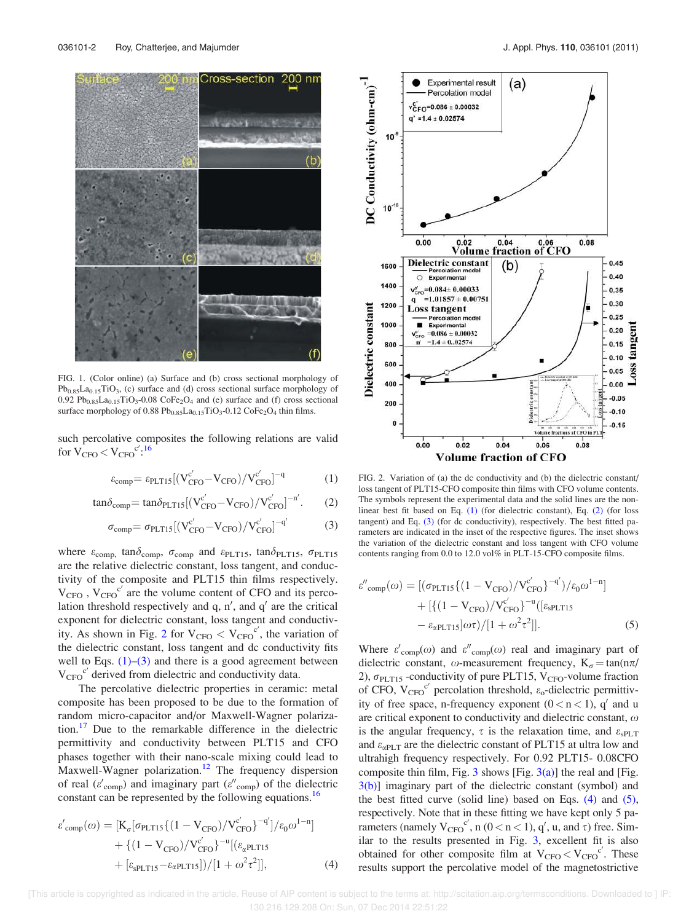

FIG. 1. (Color online) (a) Surface and (b) cross sectional morphology of  $Pb_{0.85}La_{0.15}TiO_3$ , (c) surface and (d) cross sectional surface morphology of 0.92  $Pb_{0.85}La_{0.15}TiO_3-0.08$  CoFe<sub>2</sub>O<sub>4</sub> and (e) surface and (f) cross sectional surface morphology of  $0.88 \text{ Pb}_{0.85} \text{La}_{0.15} \text{TiO}_3 - 0.12 \text{ CoFe}_2 \text{O}_4$  thin films.

such percolative composites the following relations are valid for  $V_{\text{CFO}} < V_{\text{CFO}}^{c',16}$ 

$$
\varepsilon_{\text{comp}} = \varepsilon_{\text{PLT15}}[(V_{\text{CFO}}^{c'} - V_{\text{CFO}})/V_{\text{CFO}}^{c'}]^{-q}
$$
 (1)

$$
\tan \delta_{\text{comp}} = \tan \delta_{\text{PLT15}} \left[ \left( \frac{V_{\text{CFO}}^{c'}}{C_{\text{FO}}} - \text{V}_{\text{CFO}} \right) / \text{V}_{\text{CFO}}^{c'} \right]^{-n'}.
$$
 (2)

$$
\sigma_{\text{comp}} = \sigma_{\text{PLT15}} \left[ \left( \text{V}_{\text{CFO}}^{c'} - \text{V}_{\text{CFO}} \right) / \text{V}_{\text{CFO}}^{c'} \right]^{-q'} \tag{3}
$$

where  $\varepsilon_{\text{comp}}$ ,  $\tan \delta_{\text{comp}}$ ,  $\sigma_{\text{comp}}$  and  $\varepsilon_{\text{PLT15}}$ ,  $\tan \delta_{\text{PLT15}}$ ,  $\sigma_{\text{PLT15}}$ are the relative dielectric constant, loss tangent, and conductivity of the composite and PLT15 thin films respectively.  $V_{CFO}$ ,  $V_{CFO}$ <sup>c'</sup> are the volume content of CFO and its percolation threshold respectively and  $q$ ,  $n'$ , and  $q'$  are the critical exponent for dielectric constant, loss tangent and conductivity. As shown in Fig. 2 for  $V_{CFO} < V_{CFO}^{C'}$ , the variation of the dielectric constant, loss tangent and dc conductivity fits well to Eqs.  $(1)$ – $(3)$  and there is a good agreement between  $V_{CFO}$ <sup>c'</sup> derived from dielectric and conductivity data.

The percolative dielectric properties in ceramic: metal composite has been proposed to be due to the formation of random micro-capacitor and/or Maxwell-Wagner polarization.<sup>17</sup> Due to the remarkable difference in the dielectric permittivity and conductivity between PLT15 and CFO phases together with their nano-scale mixing could lead to Maxwell-Wagner polarization.<sup>12</sup> The frequency dispersion of real ( $\varepsilon'_{\text{comp}}$ ) and imaginary part ( $\varepsilon''_{\text{comp}}$ ) of the dielectric constant can be represented by the following equations.<sup>16</sup>

$$
\varepsilon'_{\text{comp}}(\omega) = \left[ K_{\sigma} [\sigma_{\text{PLT15}} \{ (1 - V_{\text{CFO}}) / V_{\text{CFO}}^{c'} \}^{-q'}] / \varepsilon_0 \omega^{1-n} \right] + \left\{ (1 - V_{\text{CFO}}) / V_{\text{CFO}}^{c'} \right\}^{-u} [(\varepsilon_{\alpha} \text{PLT15} + [\varepsilon_{\text{sPLT15}} - \varepsilon_{\alpha} \text{PLT15}]) / [1 + \omega^2 \tau^2]],
$$
(4)



FIG. 2. Variation of (a) the dc conductivity and (b) the dielectric constant/ loss tangent of PLT15-CFO composite thin films with CFO volume contents. The symbols represent the experimental data and the solid lines are the nonlinear best fit based on Eq. (1) (for dielectric constant), Eq. (2) (for loss tangent) and Eq. (3) (for dc conductivity), respectively. The best fitted parameters are indicated in the inset of the respective figures. The inset shows the variation of the dielectric constant and loss tangent with CFO volume contents ranging from 0.0 to 12.0 vol% in PLT-15-CFO composite films.

$$
\varepsilon''_{\text{comp}}(\omega) = [(\sigma_{\text{PLT15}} \{ (1 - V_{\text{CFO}}) / V_{\text{CFO}}^{\text{c'}} \}^{-q'}) / \varepsilon_0 \omega^{1-n}] + [\{ (1 - V_{\text{CFO}}) / V_{\text{CFO}}^{\text{c'}} \}^{-u} ([\varepsilon_{\text{sPLT15}} - \varepsilon_{\alpha \text{PLT15}}] \omega \tau) / [1 + \omega^2 \tau^2]].
$$
(5)

Where  $\varepsilon'_{\text{comp}}(\omega)$  and  $\varepsilon''_{\text{comp}}(\omega)$  real and imaginary part of dielectric constant,  $\omega$ -measurement frequency, K<sub> $\sigma$ </sub> = tan(n $\pi$ / 2),  $\sigma_{\text{PLT15}}$  -conductivity of pure PLT15, V<sub>CFO</sub>-volume fraction of CFO,  $V_{CFO}^{c'}$  percolation threshold,  $\varepsilon_0$ -dielectric permittivity of free space, n-frequency exponent  $(0 < n < 1)$ , q' and u are critical exponent to conductivity and dielectric constant,  $\omega$ is the angular frequency,  $\tau$  is the relaxation time, and  $\varepsilon_{\text{SPLT}}$ and  $\varepsilon_{\alpha PLT}$  are the dielectric constant of PLT15 at ultra low and ultrahigh frequency respectively. For 0.92 PLT15- 0.08CFO composite thin film, Fig. 3 shows [Fig.  $3(a)$ ] the real and [Fig. 3(b)] imaginary part of the dielectric constant (symbol) and the best fitted curve (solid line) based on Eqs.  $(4)$  and  $(5)$ , respectively. Note that in these fitting we have kept only 5 parameters (namely  $V_{CFO}^{c'}$ , n ( $0 < n < 1$ ), q', u, and  $\tau$ ) free. Similar to the results presented in Fig. 3, excellent fit is also obtained for other composite film at  $V_{CFO} < V_{CFO}^{\ C'}$ . These results support the percolative model of the magnetostrictive

 [This article is copyrighted as indicated in the article. Reuse of AIP content is subject to the terms at: http://scitation.aip.org/termsconditions. Downloaded to ] IP: 130.216.129.208 On: Sun, 07 Dec 2014 22:51:22